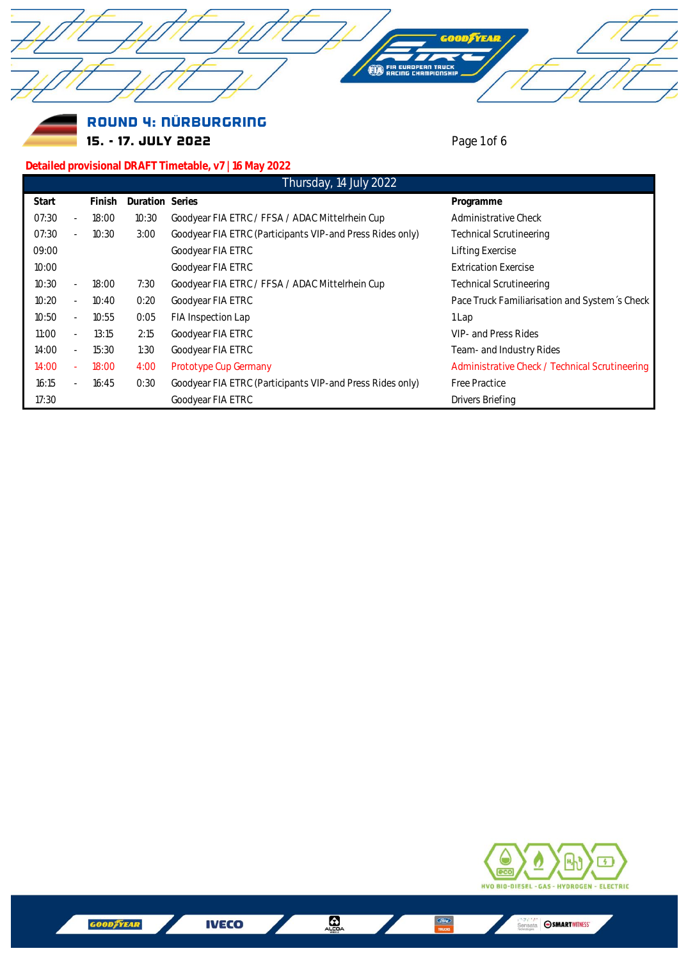



## Round 4: NÜRBURGRING 15. - 17. JULY 2022 **Page 1 of 6**

## **Detailed provisional DRAFT Timetable, v7 | 16 May 2022**

| Thursday, 14 July 2022 |                          |        |                 |                                                           |                                                |
|------------------------|--------------------------|--------|-----------------|-----------------------------------------------------------|------------------------------------------------|
| Start                  |                          | Finish | Duration Series |                                                           | Programme                                      |
| 07:30                  | $\overline{\phantom{a}}$ | 18:00  | 10:30           | Goodyear FIA ETRC / FFSA / ADAC Mittelrhein Cup           | Administrative Check                           |
| 07:30                  | ٠                        | 10:30  | 3:00            | Goodyear FIA ETRC (Participants VIP-and Press Rides only) | <b>Technical Scrutineering</b>                 |
| 09:00                  |                          |        |                 | Goodyear FIA ETRC                                         | Lifting Exercise                               |
| 10:00                  |                          |        |                 | Goodyear FIA ETRC                                         | <b>Extrication Exercise</b>                    |
| 10:30                  | $\overline{\phantom{m}}$ | 18:00  | 7:30            | Goodyear FIA ETRC / FFSA / ADAC Mittelrhein Cup           | <b>Technical Scrutineering</b>                 |
| 10:20                  | $\overline{\phantom{a}}$ | 10:40  | 0:20            | Goodyear FIA ETRC                                         | Pace Truck Familiarisation and System's Check  |
| 10:50                  | $\overline{\phantom{a}}$ | 10:55  | 0:05            | FIA Inspection Lap                                        | 1 Lap                                          |
| 11:00                  | $\overline{\phantom{a}}$ | 13:15  | 2:15            | Goodyear FIA ETRC                                         | VIP- and Press Rides                           |
| 14:00                  | $\overline{\phantom{a}}$ | 15:30  | 1:30            | Goodyear FIA ETRC                                         | Team- and Industry Rides                       |
| 14:00                  | ÷.                       | 18:00  | 4:00            | Prototype Cup Germany                                     | Administrative Check / Technical Scrutineering |
| 16:15                  | $\sim$                   | 16:45  | 0:30            | Goodyear FIA ETRC (Participants VIP-and Press Rides only) | Free Practice                                  |
| 17:30                  |                          |        |                 | Goodyear FIA ETRC                                         | Drivers Briefing                               |



 $\blacksquare$ 

 $\frac{G_{\text{core}}}{\text{tractors}}$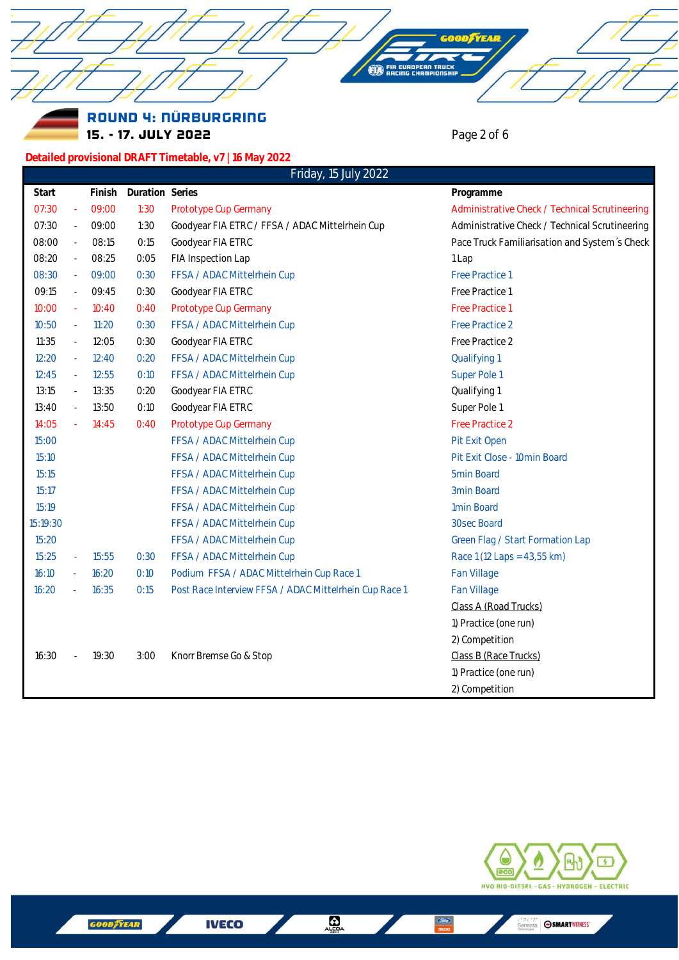Round 4: NÜRBURGRING 15. - 17. JULY 2022 **Page 2 of 6 Detailed provisional DRAFT Timetable, v7 | 16 May 2022 Start Finish Duration Series Programme** 07:30 - 09:00 1:30 Prototype Cup Germany **Administrative Check / Technical Scrutineering** 07:30 - 09:00 1:30 Goodyear FIA ETRC / FFSA / ADAC Mittelrhein Cup Administrative Check / Technical Scrutineering 08:00 - 08:15 0:15 Goodyear FIA ETRC **Pace Truck Familiarisation and System** 's Check 08:20 - 08:25 0:05 FIA Inspection Lap 1 1 Lap 08:30 - 09:00 0:30 FFSA / ADAC Mittelrhein Cup **Fractice 1** Free Practice 1 09:15 - 09:45 0:30 Goodyear FIA ETRC Free Practice 1 10:00 - 10:40 0:40 Prototype Cup Germany Free Practice 1 10:50 - 11:20 0:30 FFSA / ADAC Mittelrhein Cup Free Practice 2 11:35 - 12:05 0:30 Goodyear FIA ETRC Free Practice 2 12:20 - 12:40 0:20 FFSA / ADAC Mittelrhein Cup **Canadian Cup** Qualifying 1 12:45 - 12:55 0:10 FFSA / ADAC Mittelrhein Cup Super Pole 1 13:15 - 13:35 0:20 Goodyear FIA ETRC **Canadian Constructs** 20ualifying 1 13:40 - 13:50 0:10 Goodyear FIA ETRC **Super Pole 1** Super Pole 1 14:05 - 14:45 0:40 Prototype Cup Germany **Free Practice 2** 15:00 **FFSA / ADAC Mittelrhein Cup Pit Exit Open** 15:10 **FFSA / ADAC Mittelrhein Cup Pit Exit Close - 10min Board** 15:15 **FFSA / ADAC Mittelrhein Cup 5min Board** 5min Board 15:17 **FFSA / ADAC Mittelrhein Cup 3min Board** 3min Board 15:19 **FFSA / ADAC Mittelrhein Cup 1min Board** 1min Board 15:19:30 FFSA / ADAC Mittelrhein Cup 30sec Board 15:20 **FFSA / ADAC Mittelrhein Cup** Green Flag / Start Formation Lap 15:25 - 15:55 0:30 FFSA / ADAC Mittelrhein Cup Race 1 (12 Laps = 43,55 km) *16:10 - 16:20 0:10 Podium FFSA / ADAC Mittelrhein Cup Race 1 Fan Village 16:20 - 16:35 0:15 Post Race Interview FFSA / ADAC Mittelrhein Cup Race 1 Fan Village* Class A (Road Trucks) 1) Practice (one run) 2) Competition 16:30 - 19:30 3:00 Knorr Bremse Go & Stop Class B (Race Trucks) 1) Practice (one run) 2) Competition Friday, 15 July 2022



Sensata **SMARTWITNESS'** 

**IVECO** 

 $\Omega$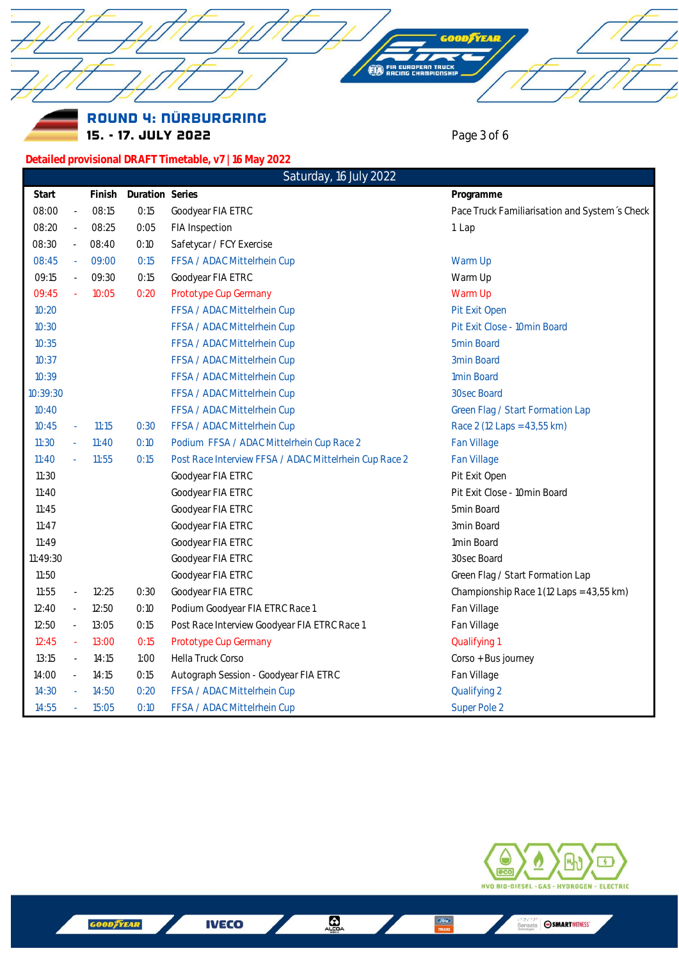ROUND 4: NÜRBURGRING Page 3 of 6 15. - 17. JULY 2022 Detailed provisional DRAFT Timetable, v7 | 16 May 2022 Saturday, 16 July 2022 Duration Series Start Finish Programme 08:00  $08:15$  $0:15$ Goodyear FIA ETRC Pace Truck Familiarisation and System's Check 08:25  $0:05$ 08:20 FIA Inspection 1 Lap 08:30 08:40  $0:10$ Safetycar / FCY Exercise 08:45  $09.00$  $0:15$ FFSA / ADAC Mittelrhein Cup Warm Up 09:15 09:30  $0:15$ Goodyear FIA ETRC Warm Up  $0:20$ Warm Up 09:45  $10:05$ Prototype Cup Germany  $10:20$ FFSA / ADAC Mittelrhein Cup Pit Exit Open Pit Exit Close - 10min Board  $10:30$ FFSA / ADAC Mittelrhein Cup  $10:35$ FFSA / ADAC Mittelrhein Cup 5min Board FFSA / ADAC Mittelrhein Cup 3min Board  $10:37$ 1min Board 10:39 FFSA / ADAC Mittelrhein Cup 10:39:30 FFSA / ADAC Mittelrhein Cup 30sec Board  $10:40$ FFSA / ADAC Mittelrhein Cup Green Flag / Start Formation Lap  $0:30$ Race 2 (12 Laps = 43,55 km)  $10:45$  $11:15$ FFSA / ADAC Mittelrhein Cup  $11:30$  $11:40$  $0:10$ Podium FFSA / ADAC Mittelrhein Cup Race 2 Fan Village  $11:55$  $0:15$ Post Race Interview FFSA / ADAC Mittelrhein Cup Race 2 Fan Village  $11:40$ Goodyear FIA ETRC Pit Exit Open  $11:30$  $11:40$ Goodyear FIA ETRC Pit Exit Close - 10min Board  $11:45$ Goodyear FIA ETRC 5min Board  $11:47$ Goodyear FIA ETRC 3min Board 1min Board  $11:49$ Goodyear FIA ETRC 11:49:30 30sec Board Goodyear FIA ETRC 11:50 Goodyear FIA ETRC Green Flag / Start Formation Lap  $11:55$  $12:25$  $0:30$ Goodyear FIA ETRC Championship Race 1 (12 Laps = 43,55 km)  $12:40$  $12:50$  $0:10$ Podium Goodyear FIA ETRC Race 1 Fan Village 13:05  $0:15$ Post Race Interview Goodyear FIA ETRC Race 1 Fan Village 12:50 13:00  $0:15$ Prototype Cup Germany Qualifying 1  $12:45$  $13:15$  $14:15$  $1:00$ Hella Truck Corso Corso + Bus journey L. 14:00  $14:15$  $0:15$ Autograph Session - Goodyear FIA ETRC Fan Village  $14:30$ 14:50  $0:20$ FFSA / ADAC Mittelrhein Cup Qualifying 2 14:55 15:05  $0:10$ FFSA / ADAC Mittelrhein Cup Super Pole 2



**IVECO** 

 $\bigoplus_{\alpha \in \mathbb{R}^n}$ 

Sensata **SMARTWITNESS'**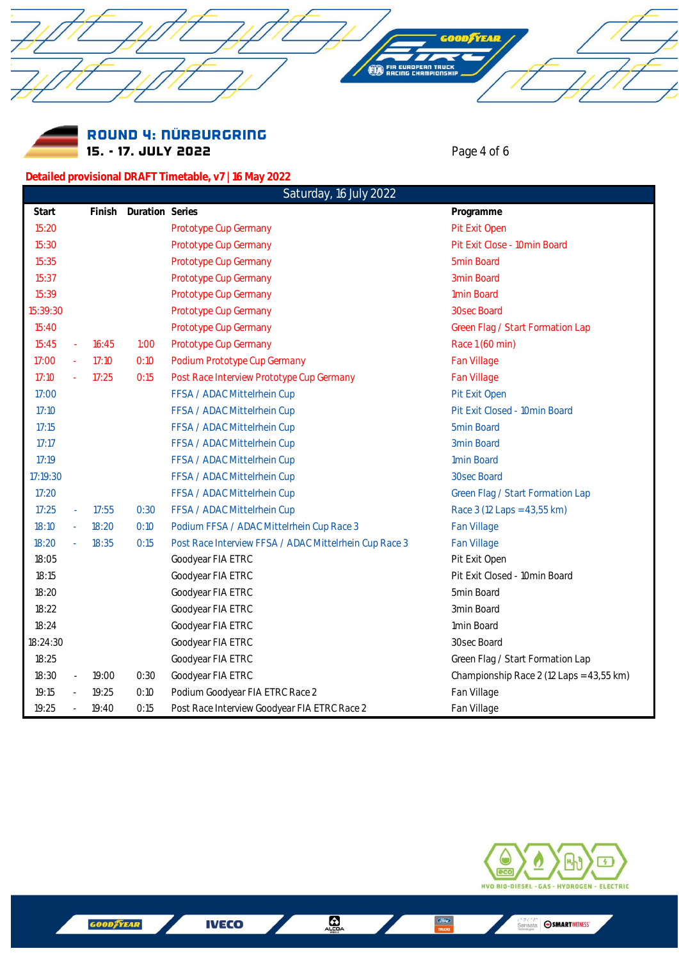Round 4: NÜRBURGRING 15. - 17. JULY 2022 **Page 4 of 6** 

**Detailed provisional DRAFT Timetable, v7 | 16 May 2022**

**YEAR** 

| Saturday, 16 July 2022 |                          |       |                        |                                                        |                                          |
|------------------------|--------------------------|-------|------------------------|--------------------------------------------------------|------------------------------------------|
| Start                  |                          |       | Finish Duration Series |                                                        | Programme                                |
| 15:20                  |                          |       |                        | Prototype Cup Germany                                  | Pit Exit Open                            |
| 15:30                  |                          |       |                        | Prototype Cup Germany                                  | Pit Exit Close - 10min Board             |
| 15:35                  |                          |       |                        | Prototype Cup Germany                                  | 5min Board                               |
| 15:37                  |                          |       |                        | Prototype Cup Germany                                  | 3min Board                               |
| 15:39                  |                          |       |                        | Prototype Cup Germany                                  | 1min Board                               |
| 15:39:30               |                          |       |                        | Prototype Cup Germany                                  | 30sec Board                              |
| 15:40                  |                          |       |                        | Prototype Cup Germany                                  | Green Flag / Start Formation Lap         |
| 15:45                  | $\omega$                 | 16:45 | 1:00                   | Prototype Cup Germany                                  | Race 1 (60 min)                          |
| 17:00                  | $\omega$                 | 17:10 | O:10                   | Podium Prototype Cup Germany                           | Fan Village                              |
| 17:10                  |                          | 17:25 | 0:15                   | Post Race Interview Prototype Cup Germany              | Fan Village                              |
| 17:00                  |                          |       |                        | FFSA / ADAC Mittelrhein Cup                            | Pit Exit Open                            |
| 17:10                  |                          |       |                        | FFSA / ADAC Mittelrhein Cup                            | Pit Exit Closed - 10min Board            |
| 17:15                  |                          |       |                        | FFSA / ADAC Mittelrhein Cup                            | 5min Board                               |
| 17:17                  |                          |       |                        | FFSA / ADAC Mittelrhein Cup                            | 3min Board                               |
| 17:19                  |                          |       |                        | FFSA / ADAC Mittelrhein Cup                            | 1min Board                               |
| 17:19:30               |                          |       |                        | FFSA / ADAC Mittelrhein Cup                            | 30sec Board                              |
| 17:20                  |                          |       |                        | FFSA / ADAC Mittelrhein Cup                            | Green Flag / Start Formation Lap         |
| 17:25                  | $\omega$                 | 17:55 | 0:30                   | FFSA / ADAC Mittelrhein Cup                            | Race 3 (12 Laps = 43,55 km)              |
| 18:10                  |                          | 18:20 | 0:10                   | Podium FFSA / ADAC Mittelrhein Cup Race 3              | Fan Village                              |
| 18:20                  | $\overline{\phantom{a}}$ | 18:35 | 0:15                   | Post Race Interview FFSA / ADAC Mittelrhein Cup Race 3 | Fan Village                              |
| 18:05                  |                          |       |                        | Goodyear FIA ETRC                                      | Pit Exit Open                            |
| 18:15                  |                          |       |                        | Goodyear FIA ETRC                                      | Pit Exit Closed - 10min Board            |
| 18:20                  |                          |       |                        | Goodyear FIA ETRC                                      | 5min Board                               |
| 18:22                  |                          |       |                        | Goodyear FIA ETRC                                      | 3min Board                               |
| 18:24                  |                          |       |                        | Goodyear FIA ETRC                                      | 1min Board                               |
| 18:24:30               |                          |       |                        | Goodyear FIA ETRC                                      | 30sec Board                              |
| 18:25                  |                          |       |                        | Goodyear FIA ETRC                                      | Green Flag / Start Formation Lap         |
| 18:30                  | $\overline{\phantom{a}}$ | 19:00 | 0:30                   | Goodyear FIA ETRC                                      | Championship Race 2 (12 Laps = 43,55 km) |
| 19:15                  | $\overline{\phantom{a}}$ | 19:25 | 0:10                   | Podium Goodyear FIA ETRC Race 2                        | Fan Village                              |
| 19:25                  |                          | 19:40 | 0:15                   | Post Race Interview Goodyear FIA ETRC Race 2           | Fan Village                              |



Sensata **SSMARTWITNESS'** 

**IVECO** 

 $\frac{G \overline{line}}{name}$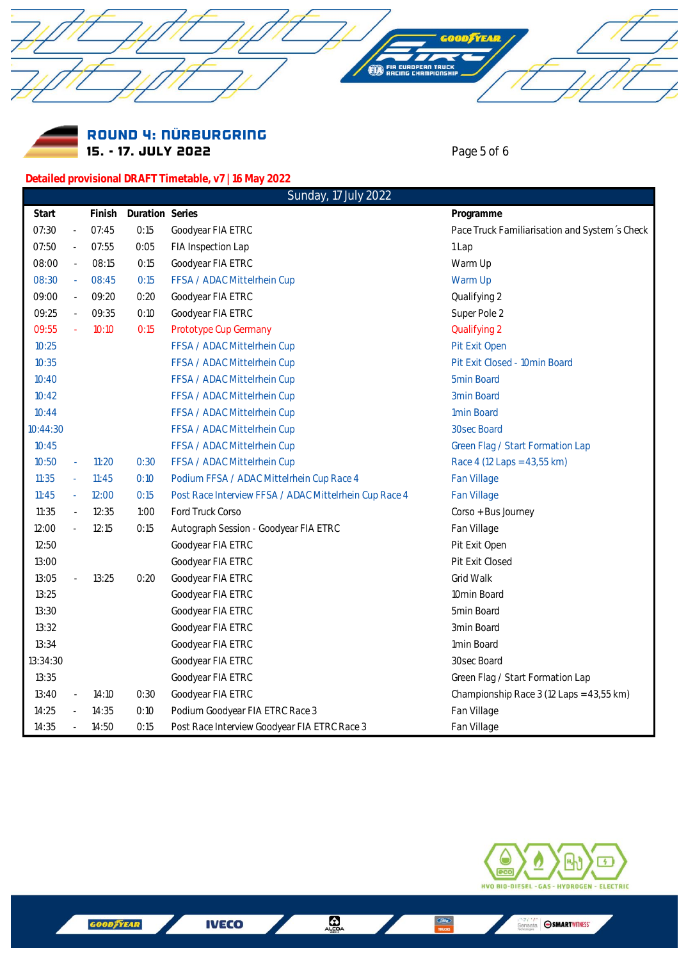Round 4: NÜRBURGRING 15. - 17. JULY 2022 **Page 5 of 6** 

**Detailed provisional DRAFT Timetable, v7 | 16 May 2022**

**TYEAR** 

IN TRUC

|          |                          |        |                 | Sunday, 17 July 2022                                   |                                               |
|----------|--------------------------|--------|-----------------|--------------------------------------------------------|-----------------------------------------------|
| Start    |                          | Finish | Duration Series |                                                        | Programme                                     |
| 07:30    | $\overline{\phantom{a}}$ | 07:45  | 0:15            | Goodyear FIA ETRC                                      | Pace Truck Familiarisation and System's Check |
| 07:50    | ÷,                       | 07:55  | 0:05            | FIA Inspection Lap                                     | 1 Lap                                         |
| 08:00    | $\overline{\phantom{a}}$ | 08:15  | 0:15            | Goodyear FIA ETRC                                      | Warm Up                                       |
| 08:30    | ä,                       | 08:45  | 0:15            | FFSA / ADAC Mittelrhein Cup                            | Warm Up                                       |
| 09:00    | ÷.                       | 09:20  | 0:20            | Goodyear FIA ETRC                                      | Qualifying 2                                  |
| 09:25    | $\bar{a}$                | 09:35  | 0:10            | Goodyear FIA ETRC                                      | Super Pole 2                                  |
| 09:55    | ä,                       | 10:10  | 0:15            | Prototype Cup Germany                                  | Qualifying 2                                  |
| 10:25    |                          |        |                 | FFSA / ADAC Mittelrhein Cup                            | Pit Exit Open                                 |
| 10:35    |                          |        |                 | FFSA / ADAC Mittelrhein Cup                            | Pit Exit Closed - 10min Board                 |
| 10:40    |                          |        |                 | FFSA / ADAC Mittelrhein Cup                            | 5min Board                                    |
| 10:42    |                          |        |                 | FFSA / ADAC Mittelrhein Cup                            | 3min Board                                    |
| 10:44    |                          |        |                 | FFSA / ADAC Mittelrhein Cup                            | 1min Board                                    |
| 10:44:30 |                          |        |                 | FFSA / ADAC Mittelrhein Cup                            | 30sec Board                                   |
| 10:45    |                          |        |                 | FFSA / ADAC Mittelrhein Cup                            | Green Flag / Start Formation Lap              |
| 10:50    | ä,                       | 11:20  | 0:30            | FFSA / ADAC Mittelrhein Cup                            | Race 4 (12 Laps = 43,55 km)                   |
| 11:35    | $\omega$                 | 11:45  | 0:10            | Podium FFSA / ADAC Mittelrhein Cup Race 4              | Fan Village                                   |
| 11:45    | $\omega$                 | 12:00  | 0:15            | Post Race Interview FFSA / ADAC Mittelrhein Cup Race 4 | Fan Village                                   |
| 11:35    | $\overline{\phantom{a}}$ | 12:35  | 1:00            | Ford Truck Corso                                       | Corso + Bus Journey                           |
| 12:00    | $\overline{\phantom{a}}$ | 12:15  | 0:15            | Autograph Session - Goodyear FIA ETRC                  | Fan Village                                   |
| 12:50    |                          |        |                 | Goodyear FIA ETRC                                      | Pit Exit Open                                 |
| 13:00    |                          |        |                 | Goodyear FIA ETRC                                      | Pit Exit Closed                               |
| 13:05    | $\overline{\phantom{a}}$ | 13:25  | 0:20            | Goodyear FIA ETRC                                      | Grid Walk                                     |
| 13:25    |                          |        |                 | Goodyear FIA ETRC                                      | 10min Board                                   |
| 13:30    |                          |        |                 | Goodyear FIA ETRC                                      | 5min Board                                    |
| 13:32    |                          |        |                 | Goodyear FIA ETRC                                      | 3min Board                                    |
| 13:34    |                          |        |                 | Goodyear FIA ETRC                                      | 1min Board                                    |
| 13:34:30 |                          |        |                 | Goodyear FIA ETRC                                      | 30sec Board                                   |
| 13:35    |                          |        |                 | Goodyear FIA ETRC                                      | Green Flag / Start Formation Lap              |
| 13:40    | $\overline{\phantom{a}}$ | 14:10  | 0:30            | Goodyear FIA ETRC                                      | Championship Race 3 (12 Laps = 43,55 km)      |
| 14:25    | $\overline{\phantom{a}}$ | 14:35  | 0:10            | Podium Goodyear FIA ETRC Race 3                        | Fan Village                                   |
| 14:35    | $\overline{\phantom{a}}$ | 14:50  | 0:15            | Post Race Interview Goodyear FIA ETRC Race 3           | Fan Village                                   |



Sensata **SSMARTWITNESS'** 

**IVECO** 

 $rac{C}{TRC}$